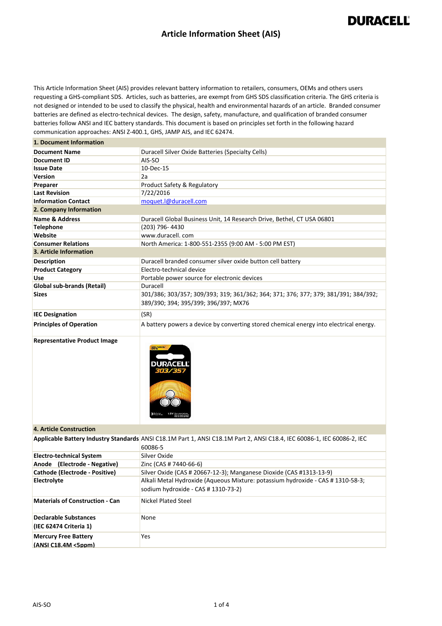### **Article Information Sheet (AIS)**

## **DURACELL®**

This Article Information Sheet (AIS) provides relevant battery information to retailers, consumers, OEMs and others users requesting a GHS-compliant SDS. Articles, such as batteries, are exempt from GHS SDS classification criteria. The GHS criteria is not designed or intended to be used to classify the physical, health and environmental hazards of an article. Branded consumer batteries are defined as electro-technical devices. The design, safety, manufacture, and qualification of branded consumer batteries follow ANSI and IEC battery standards. This document is based on principles set forth in the following hazard communication approaches: ANSI Z-400.1, GHS, JAMP AIS, and IEC 62474.

### **1. Document Information**

| <b>Document Name</b>           | Duracell Silver Oxide Batteries (Specialty Cells)                                                                           |  |  |  |
|--------------------------------|-----------------------------------------------------------------------------------------------------------------------------|--|--|--|
| Document ID                    | AIS-SO                                                                                                                      |  |  |  |
| <b>Issue Date</b>              | 10-Dec-15                                                                                                                   |  |  |  |
| <b>Version</b>                 | 2a                                                                                                                          |  |  |  |
| Preparer                       | Product Safety & Regulatory                                                                                                 |  |  |  |
| <b>Last Revision</b>           | 7/22/2016                                                                                                                   |  |  |  |
| <b>Information Contact</b>     | moquet.l@duracell.com                                                                                                       |  |  |  |
| 2. Company Information         |                                                                                                                             |  |  |  |
| <b>Name &amp; Address</b>      | Duracell Global Business Unit, 14 Research Drive, Bethel, CT USA 06801                                                      |  |  |  |
| <b>Telephone</b>               | (203) 796-4430                                                                                                              |  |  |  |
| Website                        | www.duracell.com                                                                                                            |  |  |  |
| <b>Consumer Relations</b>      | North America: 1-800-551-2355 (9:00 AM - 5:00 PM EST)                                                                       |  |  |  |
| 3. Article Information         |                                                                                                                             |  |  |  |
| <b>Description</b>             | Duracell branded consumer silver oxide button cell battery                                                                  |  |  |  |
| <b>Product Category</b>        | Electro-technical device                                                                                                    |  |  |  |
| Use                            | Portable power source for electronic devices                                                                                |  |  |  |
| Global sub-brands (Retail)     | Duracell                                                                                                                    |  |  |  |
| <b>Sizes</b>                   | 301/386; 303/357; 309/393; 319; 361/362; 364; 371; 376; 377; 379; 381/391; 384/392;<br>389/390; 394; 395/399; 396/397; MX76 |  |  |  |
| <b>IEC Designation</b>         | (SR)                                                                                                                        |  |  |  |
| <b>Principles of Operation</b> | A battery powers a device by converting stored chemical energy into electrical energy.                                      |  |  |  |

#### **Representative Product Image**



#### **4. Article Construction**

|                                                           | Applicable Battery Industry Standards ANSI C18.1M Part 1, ANSI C18.1M Part 2, ANSI C18.4, IEC 60086-1, IEC 60086-2, IEC<br>60086-5 |
|-----------------------------------------------------------|------------------------------------------------------------------------------------------------------------------------------------|
| <b>Electro-technical System</b>                           | Silver Oxide                                                                                                                       |
| Anode (Electrode - Negative)                              | Zinc (CAS # 7440-66-6)                                                                                                             |
| Cathode (Electrode - Positive)                            | Silver Oxide (CAS # 20667-12-3); Manganese Dioxide (CAS #1313-13-9)                                                                |
| Electrolyte                                               | Alkali Metal Hydroxide (Aqueous Mixture: potassium hydroxide - CAS # 1310-58-3;<br>sodium hydroxide - CAS # 1310-73-2)             |
| <b>Materials of Construction - Can</b>                    | Nickel Plated Steel                                                                                                                |
| <b>Declarable Substances</b><br>(IEC 62474 Criteria 1)    | None                                                                                                                               |
| <b>Mercury Free Battery</b><br>$(ANSI C18.4M < 5$ ppm $)$ | Yes                                                                                                                                |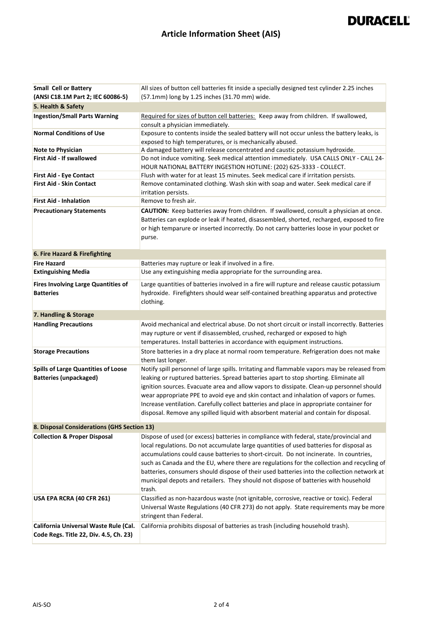# **DURACELL®**

## **Article Information Sheet (AIS)**

| <b>Small Cell or Battery</b><br>(ANSI C18.1M Part 2; IEC 60086-5)               | All sizes of button cell batteries fit inside a specially designed test cylinder 2.25 inches<br>(57.1mm) long by 1.25 inches (31.70 mm) wide.                                                                                                                                                                                                                                                                                                                                                                                                                            |  |  |  |
|---------------------------------------------------------------------------------|--------------------------------------------------------------------------------------------------------------------------------------------------------------------------------------------------------------------------------------------------------------------------------------------------------------------------------------------------------------------------------------------------------------------------------------------------------------------------------------------------------------------------------------------------------------------------|--|--|--|
| 5. Health & Safety                                                              |                                                                                                                                                                                                                                                                                                                                                                                                                                                                                                                                                                          |  |  |  |
| <b>Ingestion/Small Parts Warning</b>                                            | Required for sizes of button cell batteries: Keep away from children. If swallowed,<br>consult a physician immediately.                                                                                                                                                                                                                                                                                                                                                                                                                                                  |  |  |  |
| <b>Normal Conditions of Use</b>                                                 | Exposure to contents inside the sealed battery will not occur unless the battery leaks, is<br>exposed to high temperatures, or is mechanically abused.                                                                                                                                                                                                                                                                                                                                                                                                                   |  |  |  |
| <b>Note to Physician</b>                                                        | A damaged battery will release concentrated and caustic potassium hydroxide.                                                                                                                                                                                                                                                                                                                                                                                                                                                                                             |  |  |  |
| First Aid - If swallowed                                                        | Do not induce vomiting. Seek medical attention immediately. USA CALLS ONLY - CALL 24-<br>HOUR NATIONAL BATTERY INGESTION HOTLINE: (202) 625-3333 - COLLECT.                                                                                                                                                                                                                                                                                                                                                                                                              |  |  |  |
| First Aid - Eye Contact                                                         | Flush with water for at least 15 minutes. Seek medical care if irritation persists.                                                                                                                                                                                                                                                                                                                                                                                                                                                                                      |  |  |  |
| <b>First Aid - Skin Contact</b>                                                 | Remove contaminated clothing. Wash skin with soap and water. Seek medical care if<br>irritation persists.                                                                                                                                                                                                                                                                                                                                                                                                                                                                |  |  |  |
| <b>First Aid - Inhalation</b>                                                   | Remove to fresh air.                                                                                                                                                                                                                                                                                                                                                                                                                                                                                                                                                     |  |  |  |
| <b>Precautionary Statements</b>                                                 | <b>CAUTION:</b> Keep batteries away from children. If swallowed, consult a physician at once.<br>Batteries can explode or leak if heated, disassembled, shorted, recharged, exposed to fire<br>or high temparure or inserted incorrectly. Do not carry batteries loose in your pocket or<br>purse.                                                                                                                                                                                                                                                                       |  |  |  |
| 6. Fire Hazard & Firefighting                                                   |                                                                                                                                                                                                                                                                                                                                                                                                                                                                                                                                                                          |  |  |  |
| <b>Fire Hazard</b>                                                              | Batteries may rupture or leak if involved in a fire.                                                                                                                                                                                                                                                                                                                                                                                                                                                                                                                     |  |  |  |
| <b>Extinguishing Media</b>                                                      | Use any extinguishing media appropriate for the surrounding area.                                                                                                                                                                                                                                                                                                                                                                                                                                                                                                        |  |  |  |
| <b>Fires Involving Large Quantities of</b><br><b>Batteries</b>                  | Large quantities of batteries involved in a fire will rupture and release caustic potassium<br>hydroxide. Firefighters should wear self-contained breathing apparatus and protective<br>clothing.                                                                                                                                                                                                                                                                                                                                                                        |  |  |  |
| 7. Handling & Storage                                                           |                                                                                                                                                                                                                                                                                                                                                                                                                                                                                                                                                                          |  |  |  |
| <b>Handling Precautions</b>                                                     | Avoid mechanical and electrical abuse. Do not short circuit or install incorrectly. Batteries<br>may rupture or vent if disassembled, crushed, recharged or exposed to high<br>temperatures. Install batteries in accordance with equipment instructions.                                                                                                                                                                                                                                                                                                                |  |  |  |
| <b>Storage Precautions</b>                                                      | Store batteries in a dry place at normal room temperature. Refrigeration does not make<br>them last longer.                                                                                                                                                                                                                                                                                                                                                                                                                                                              |  |  |  |
| <b>Spills of Large Quantities of Loose</b><br><b>Batteries (unpackaged)</b>     | Notify spill personnel of large spills. Irritating and flammable vapors may be released from<br>leaking or ruptured batteries. Spread batteries apart to stop shorting. Eliminate all<br>ignition sources. Evacuate area and allow vapors to dissipate. Clean-up personnel should<br>wear appropriate PPE to avoid eye and skin contact and inhalation of vapors or fumes.<br>Increase ventilation. Carefully collect batteries and place in appropriate container for<br>disposal. Remove any spilled liquid with absorbent material and contain for disposal.          |  |  |  |
| 8. Disposal Considerations (GHS Section 13)                                     |                                                                                                                                                                                                                                                                                                                                                                                                                                                                                                                                                                          |  |  |  |
| <b>Collection &amp; Proper Disposal</b>                                         | Dispose of used (or excess) batteries in compliance with federal, state/provincial and<br>local regulations. Do not accumulate large quantities of used batteries for disposal as<br>accumulations could cause batteries to short-circuit. Do not incinerate. In countries,<br>such as Canada and the EU, where there are regulations for the collection and recycling of<br>batteries, consumers should dispose of their used batteries into the collection network at<br>municipal depots and retailers. They should not dispose of batteries with household<br>trash. |  |  |  |
| USA EPA RCRA (40 CFR 261)                                                       | Classified as non-hazardous waste (not ignitable, corrosive, reactive or toxic). Federal<br>Universal Waste Regulations (40 CFR 273) do not apply. State requirements may be more<br>stringent than Federal.                                                                                                                                                                                                                                                                                                                                                             |  |  |  |
| California Universal Waste Rule (Cal.<br>Code Regs. Title 22, Div. 4.5, Ch. 23) | California prohibits disposal of batteries as trash (including household trash).                                                                                                                                                                                                                                                                                                                                                                                                                                                                                         |  |  |  |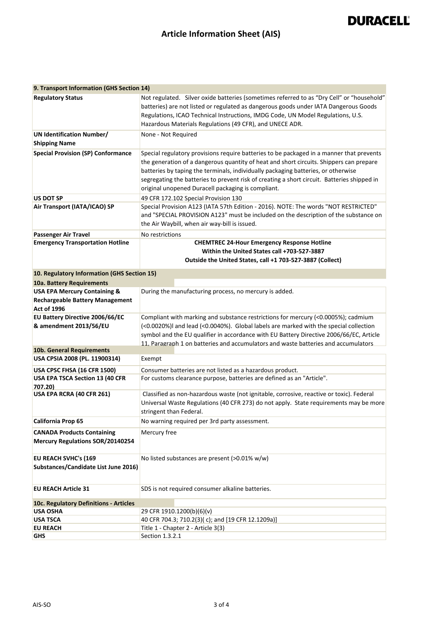# **DURACELL®**

## **Article Information Sheet (AIS)**

| 9. Transport Information (GHS Section 14)                             |                                                                                                                                                                                                                                                                                                                                                                                                                               |  |  |  |  |
|-----------------------------------------------------------------------|-------------------------------------------------------------------------------------------------------------------------------------------------------------------------------------------------------------------------------------------------------------------------------------------------------------------------------------------------------------------------------------------------------------------------------|--|--|--|--|
| <b>Regulatory Status</b>                                              | Not regulated. Silver oxide batteries (sometimes referred to as "Dry Cell" or "household"<br>batteries) are not listed or regulated as dangerous goods under IATA Dangerous Goods<br>Regulations, ICAO Technical Instructions, IMDG Code, UN Model Regulations, U.S.<br>Hazardous Materials Regulations (49 CFR), and UNECE ADR.                                                                                              |  |  |  |  |
| <b>UN Identification Number/</b><br><b>Shipping Name</b>              | None - Not Required                                                                                                                                                                                                                                                                                                                                                                                                           |  |  |  |  |
| <b>Special Provision (SP) Conformance</b>                             | Special regulatory provisions require batteries to be packaged in a manner that prevents<br>the generation of a dangerous quantity of heat and short circuits. Shippers can prepare<br>batteries by taping the terminals, individually packaging batteries, or otherwise<br>segregating the batteries to prevent risk of creating a short circuit. Batteries shipped in<br>original unopened Duracell packaging is compliant. |  |  |  |  |
| <b>US DOT SP</b>                                                      | 49 CFR 172.102 Special Provision 130                                                                                                                                                                                                                                                                                                                                                                                          |  |  |  |  |
| Air Transport (IATA/ICAO) SP                                          | Special Provision A123 (IATA 57th Edition - 2016). NOTE: The words "NOT RESTRICTED"<br>and "SPECIAL PROVISION A123" must be included on the description of the substance on<br>the Air Waybill, when air way-bill is issued.                                                                                                                                                                                                  |  |  |  |  |
| <b>Passenger Air Travel</b>                                           | No restrictions                                                                                                                                                                                                                                                                                                                                                                                                               |  |  |  |  |
| <b>Emergency Transportation Hotline</b>                               | <b>CHEMTREC 24-Hour Emergency Response Hotline</b><br>Within the United States call +703-527-3887<br>Outside the United States, call +1 703-527-3887 (Collect)                                                                                                                                                                                                                                                                |  |  |  |  |
|                                                                       |                                                                                                                                                                                                                                                                                                                                                                                                                               |  |  |  |  |
| 10. Regulatory Information (GHS Section 15)                           |                                                                                                                                                                                                                                                                                                                                                                                                                               |  |  |  |  |
| 10a. Battery Requirements                                             |                                                                                                                                                                                                                                                                                                                                                                                                                               |  |  |  |  |
| <b>USA EPA Mercury Containing &amp;</b>                               | During the manufacturing process, no mercury is added.                                                                                                                                                                                                                                                                                                                                                                        |  |  |  |  |
| <b>Rechargeable Battery Management</b><br><b>Act of 1996</b>          |                                                                                                                                                                                                                                                                                                                                                                                                                               |  |  |  |  |
| EU Battery Directive 2006/66/EC<br>& amendment 2013/56/EU             | Compliant with marking and substance restrictions for mercury (<0.0005%); cadmium<br>(<0.0020%)I and lead (<0.0040%). Global labels are marked with the special collection<br>symbol and the EU qualifier in accordance with EU Battery Directive 2006/66/EC, Article<br>11. Paragraph 1 on batteries and accumulators and waste batteries and accumulators                                                                   |  |  |  |  |
| 10b. General Requirements                                             |                                                                                                                                                                                                                                                                                                                                                                                                                               |  |  |  |  |
| USA CPSIA 2008 (PL. 11900314)                                         | Exempt                                                                                                                                                                                                                                                                                                                                                                                                                        |  |  |  |  |
| <b>USA CPSC FHSA (16 CFR 1500)</b>                                    | Consumer batteries are not listed as a hazardous product.                                                                                                                                                                                                                                                                                                                                                                     |  |  |  |  |
| USA EPA TSCA Section 13 (40 CFR<br>707.20)                            | For customs clearance purpose, batteries are defined as an "Article".                                                                                                                                                                                                                                                                                                                                                         |  |  |  |  |
| USA EPA RCRA (40 CFR 261)                                             | Classified as non-hazardous waste (not ignitable, corrosive, reactive or toxic). Federal<br>Universal Waste Regulations (40 CFR 273) do not apply. State requirements may be more<br>stringent than Federal.                                                                                                                                                                                                                  |  |  |  |  |
| <b>California Prop 65</b>                                             | No warning required per 3rd party assessment.                                                                                                                                                                                                                                                                                                                                                                                 |  |  |  |  |
| <b>CANADA Products Containing</b><br>Mercury Regulations SOR/20140254 | Mercury free                                                                                                                                                                                                                                                                                                                                                                                                                  |  |  |  |  |
| EU REACH SVHC's (169                                                  | No listed substances are present (>0.01% w/w)                                                                                                                                                                                                                                                                                                                                                                                 |  |  |  |  |
| Substances/Candidate List June 2016)                                  |                                                                                                                                                                                                                                                                                                                                                                                                                               |  |  |  |  |
| <b>EU REACH Article 31</b>                                            | SDS is not required consumer alkaline batteries.                                                                                                                                                                                                                                                                                                                                                                              |  |  |  |  |
| 10c. Regulatory Definitions - Articles                                |                                                                                                                                                                                                                                                                                                                                                                                                                               |  |  |  |  |
| <b>USA OSHA</b>                                                       | 29 CFR 1910.1200(b)(6)(v)                                                                                                                                                                                                                                                                                                                                                                                                     |  |  |  |  |
| <b>USA TSCA</b>                                                       | 40 CFR 704.3; 710.2(3)(c); and [19 CFR 12.1209a)]                                                                                                                                                                                                                                                                                                                                                                             |  |  |  |  |
| <b>EU REACH</b>                                                       | Title 1 - Chapter 2 - Article 3(3)                                                                                                                                                                                                                                                                                                                                                                                            |  |  |  |  |
| GHS                                                                   | Section 1.3.2.1                                                                                                                                                                                                                                                                                                                                                                                                               |  |  |  |  |